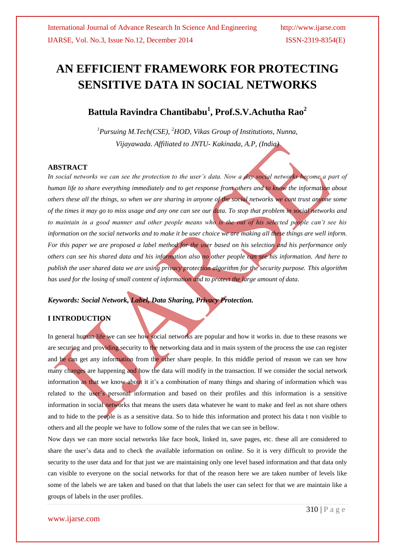# **AN EFFICIENT FRAMEWORK FOR PROTECTING SENSITIVE DATA IN SOCIAL NETWORKS**

# **Battula Ravindra Chantibabu<sup>1</sup> , Prof.S.V.Achutha Rao<sup>2</sup>**

*<sup>1</sup>Pursuing M.Tech(CSE), <sup>2</sup>HOD, Vikas Group of Institutions, Nunna, Vijayawada. Affiliated to JNTU- Kakinada, A.P, (India)*

#### **ABSTRACT**

*In social networks we can see the protection to the user's data. Now a day social networks become a part of human life to share everything immediately and to get response from others and to know the information about others these all the things, so when we are sharing in anyone of the social networks we cont trust anyone some of the times it may go to miss usage and any one can see our data. To stop that problem in social networks and to maintain in a good manner and other people means who is the out of his selected people can't see his information on the social networks and to make it be user choice we are making all these things are well inform. For this paper we are proposed a label method for the user based on his selection and his performance only others can see his shared data and his information also no other people can see his information. And here to publish the user shared data we are using privacy protection algorithm for the security purpose. This algorithm has used for the losing of small content of information and to protect the large amount of data.* 

#### *Keywords: Social Network, Label, Data Sharing, Privacy Protection.*

#### **I INTRODUCTION**

In general human life we can see how social networks are popular and how it works in. due to these reasons we are securing and providing security to the networking data and in main system of the process the use can register and he can get any information from the other share people. In this middle period of reason we can see how many changes are happening and how the data will modify in the transaction. If we consider the social network information as that we know about it it's a combination of many things and sharing of information which was related to the user's personal information and based on their profiles and this information is a sensitive information in social networks that means the users data whatever he want to make and feel as not share others and to hide to the people is as a sensitive data. So to hide this information and protect his data t non visible to others and all the people we have to follow some of the rules that we can see in bellow.

Now days we can more social networks like face book, linked in, save pages, etc. these all are considered to share the user's data and to check the available information on online. So it is very difficult to provide the security to the user data and for that just we are maintaining only one level based information and that data only can visible to everyone on the social networks for that of the reason here we are taken number of levels like some of the labels we are taken and based on that that labels the user can select for that we are maintain like a groups of labels in the user profiles.

www.ijarse.com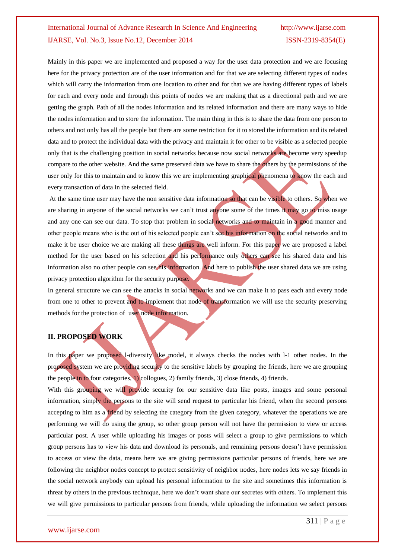Mainly in this paper we are implemented and proposed a way for the user data protection and we are focusing here for the privacy protection are of the user information and for that we are selecting different types of nodes which will carry the information from one location to other and for that we are having different types of labels for each and every node and through this points of nodes we are making that as a directional path and we are getting the graph. Path of all the nodes information and its related information and there are many ways to hide the nodes information and to store the information. The main thing in this is to share the data from one person to others and not only has all the people but there are some restriction for it to stored the information and its related data and to protect the individual data with the privacy and maintain it for other to be visible as a selected people only that is the challenging position in social networks because now social networks are become very speedup compare to the other website. And the same preserved data we have to share the others by the permissions of the user only for this to maintain and to know this we are implementing graphical phenomena to know the each and every transaction of data in the selected field.

At the same time user may have the non sensitive data information so that can be visible to others. So when we are sharing in anyone of the social networks we can't trust anyone some of the times it may go to miss usage and any one can see our data. To stop that problem in social networks and to maintain in a good manner and other people means who is the out of his selected people can't see his information on the social networks and to make it be user choice we are making all these things are well inform. For this paper we are proposed a label method for the user based on his selection and his performance only others can see his shared data and his information also no other people can see his information. And here to publish the user shared data we are using privacy protection algorithm for the security purpose.

In general structure we can see the attacks in social networks and we can make it to pass each and every node from one to other to prevent and to implement that node of transformation we will use the security preserving methods for the protection of user node information.

#### **II. PROPOSED WORK**

In this paper we proposed 1-diversity like model, it always checks the nodes with 1-1 other nodes. In the proposed system we are providing security to the sensitive labels by grouping the friends, here we are grouping the people in to four categories, 1) collogues, 2) family friends, 3) close friends, 4) friends.

With this grouping we will provide security for our sensitive data like posts, images and some personal information, simply the persons to the site will send request to particular his friend, when the second persons accepting to him as a friend by selecting the category from the given category, whatever the operations we are performing we will do using the group, so other group person will not have the permission to view or access particular post. A user while uploading his images or posts will select a group to give permissions to which group persons has to view his data and download its personals, and remaining persons doesn't have permission to access or view the data, means here we are giving permissions particular persons of friends, here we are following the neighbor nodes concept to protect sensitivity of neighbor nodes, here nodes lets we say friends in the social network anybody can upload his personal information to the site and sometimes this information is threat by others in the previous technique, here we don't want share our secretes with others. To implement this we will give permissions to particular persons from friends, while uploading the information we select persons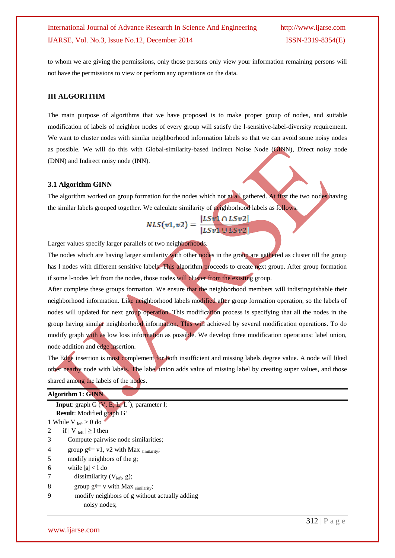to whom we are giving the permissions, only those persons only view your information remaining persons will not have the permissions to view or perform any operations on the data.

#### **III ALGORITHM**

The main purpose of algorithms that we have proposed is to make proper group of nodes, and suitable modification of labels of neighbor nodes of every group will satisfy the l-sensitive-label-diversity requirement. We want to cluster nodes with similar neighborhood information labels so that we can avoid some noisy nodes as possible. We will do this with Global-similarity-based Indirect Noise Node (GINN), Direct noisy node (DNN) and Indirect noisy node (INN).

#### **3.1 Algorithm GINN**

The algorithm worked on group formation for the nodes which not at all gathered. At first the two nodes having the similar labels grouped together. We calculate similarity of neighborhood labels as follows.

$$
NLS(v1,v2) = \frac{|LSv1 \cap LSv2|}{|LSv1 \cup LSv2|}
$$

Larger values specify larger parallels of two neighborhoods.

The nodes which are having larger similarity with other nodes in the group are gathered as cluster till the group has l nodes with different sensitive labels. This algorithm proceeds to create next group. After group formation if some l-nodes left from the nodes, those nodes will cluster from the existing group.

After complete these groups formation. We ensure that the neighborhood members will indistinguishable their neighborhood information. Like neighborhood labels modified after group formation operation, so the labels of nodes will updated for next group operation. This modification process is specifying that all the nodes in the group having similar neighborhood information. This will achieved by several modification operations. To do modify graph with as low loss information as possible. We develop three modification operations: label union, node addition and edge insertion.

The Edge insertion is most complement for both insufficient and missing labels degree value. A node will liked other nearby node with labels. The label union adds value of missing label by creating super values, and those shared among the labels of the nodes.

| <b>Algorithm 1: GINN</b>                               |
|--------------------------------------------------------|
| <b>Input:</b> graph G $(V, E, L, L^2)$ , parameter 1;  |
| <b>Result:</b> Modified graph G'                       |
| 1 While V $_{\text{left}} > 0$ do                      |
| if $ V _{left}  \geq 1$ then<br>2                      |
| Compute pairwise node similarities;<br>3               |
| group $g \leftarrow v1$ , v2 with Max similarity;<br>4 |
| modify neighbors of the g;<br>5                        |
| 6<br>while $ g  < l$ do                                |
| dissimilarity $(V_{left}, g)$ ;                        |
| 8<br>group $g \leftarrow v$ with Max similarity;       |
| modify neighbors of g without actually adding<br>9     |
| noisy nodes;                                           |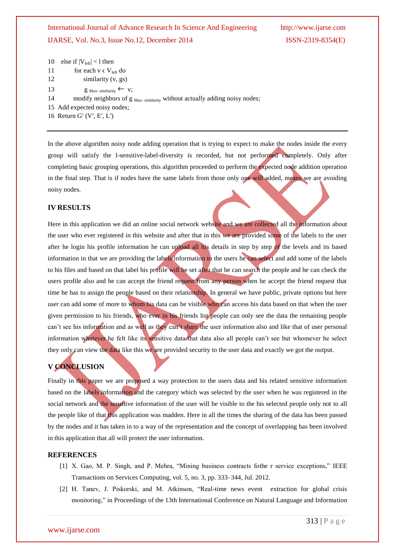```
10 else if |V_{\text{left}}| < 1 then
```
- 11 for each  $v \in V_{\text{left}}$  do
- 12 similarity (v, gs)
- 13 g Max- similarity  $\leftarrow$  v;
- 14 modify neighbors of g Max- similarity without actually adding noisy nodes;
- 15 Add expected noisy nodes;
- 16 Return Gʹ (Vʹ, Eʹ, Lʹ)

In the above algorithm noisy node adding operation that is trying to expect to make the nodes inside the every group will satisfy the l-sensitive-label-diversity is recorded, but not performed completely. Only after completing basic grouping operations, this algorithm proceeded to perform the expected node addition operation in the final step. That is if nodes have the same labels from those only one will added, means we are avoiding noisy nodes.

#### **IV RESULTS**

Here in this application we did an online social network website and we are collected all the information about the user who ever registered in this website and after that in this we are provided some of the labels to the user after he login his profile information he can upload all his details in step by step of the levels and its based information in that we are providing the labels information to the users he can select and add some of the labels to his files and based on that label his profile will be set after that he can search the people and he can check the users profile also and he can accept the friend request from any person when he accept the friend request that time he has to assign the people based on their relationship. In general we have public, private options but here user can add some of more to whom his data can be visible who can access his data based on that when the user given permission to his friends, who ever in his friends list people can only see the data the remaining people can't see his information and as well as they can't share the user information also and like that of user personal information whatever he felt like its sensitive data that data also all people can't see but whomever he select they only can view the data like this we are provided security to the user data and exactly we got the output.

### **V CONCLUSION**

Finally in this paper we are proposed a way protection to the users data and his related sensitive information based on the labels information and the category which was selected by the user when he was registered in the social network and the sensitive information of the user will be visible to the his selected people only not to all the people like of that this application was madden. Here in all the times the sharing of the data has been passed by the nodes and it has taken in to a way of the representation and the concept of overlapping has been involved in this application that all will protect the user information.

#### **REFERENCES**

- [1] X. Gao, M. P. Singh, and P. Mehra, "Mining business contracts fothe r service exceptions," IEEE Transactions on Services Computing, vol. 5, no. 3, pp. 333–344, Jul. 2012.
- [2] H. Tanev, J. Piskorski, and M. Atkinson, "Real-time news event extraction for global crisis monitoring," in Proceedings of the 13th International Conference on Natural Language and Information